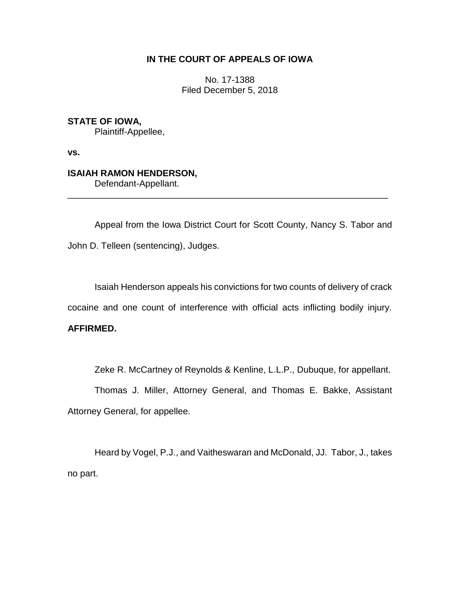### **IN THE COURT OF APPEALS OF IOWA**

No. 17-1388 Filed December 5, 2018

**STATE OF IOWA,** Plaintiff-Appellee,

**vs.**

# **ISAIAH RAMON HENDERSON,**

Defendant-Appellant.

Appeal from the Iowa District Court for Scott County, Nancy S. Tabor and John D. Telleen (sentencing), Judges.

\_\_\_\_\_\_\_\_\_\_\_\_\_\_\_\_\_\_\_\_\_\_\_\_\_\_\_\_\_\_\_\_\_\_\_\_\_\_\_\_\_\_\_\_\_\_\_\_\_\_\_\_\_\_\_\_\_\_\_\_\_\_\_\_

Isaiah Henderson appeals his convictions for two counts of delivery of crack cocaine and one count of interference with official acts inflicting bodily injury.

## **AFFIRMED.**

Zeke R. McCartney of Reynolds & Kenline, L.L.P., Dubuque, for appellant.

Thomas J. Miller, Attorney General, and Thomas E. Bakke, Assistant Attorney General, for appellee.

Heard by Vogel, P.J., and Vaitheswaran and McDonald, JJ. Tabor, J., takes no part.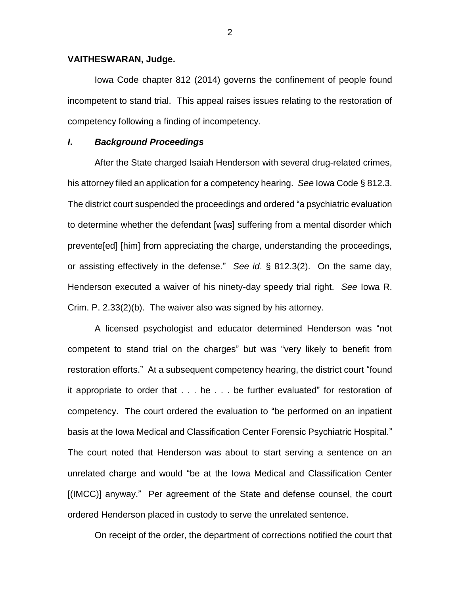### **VAITHESWARAN, Judge.**

Iowa Code chapter 812 (2014) governs the confinement of people found incompetent to stand trial. This appeal raises issues relating to the restoration of competency following a finding of incompetency.

### *I***.** *Background Proceedings*

After the State charged Isaiah Henderson with several drug-related crimes, his attorney filed an application for a competency hearing. *See* Iowa Code § 812.3. The district court suspended the proceedings and ordered "a psychiatric evaluation to determine whether the defendant [was] suffering from a mental disorder which prevente[ed] [him] from appreciating the charge, understanding the proceedings, or assisting effectively in the defense." *See id*. § 812.3(2). On the same day, Henderson executed a waiver of his ninety-day speedy trial right. *See* Iowa R. Crim. P. 2.33(2)(b). The waiver also was signed by his attorney.

A licensed psychologist and educator determined Henderson was "not competent to stand trial on the charges" but was "very likely to benefit from restoration efforts." At a subsequent competency hearing, the district court "found it appropriate to order that . . . he . . . be further evaluated" for restoration of competency. The court ordered the evaluation to "be performed on an inpatient basis at the Iowa Medical and Classification Center Forensic Psychiatric Hospital." The court noted that Henderson was about to start serving a sentence on an unrelated charge and would "be at the Iowa Medical and Classification Center [(IMCC)] anyway." Per agreement of the State and defense counsel, the court ordered Henderson placed in custody to serve the unrelated sentence.

On receipt of the order, the department of corrections notified the court that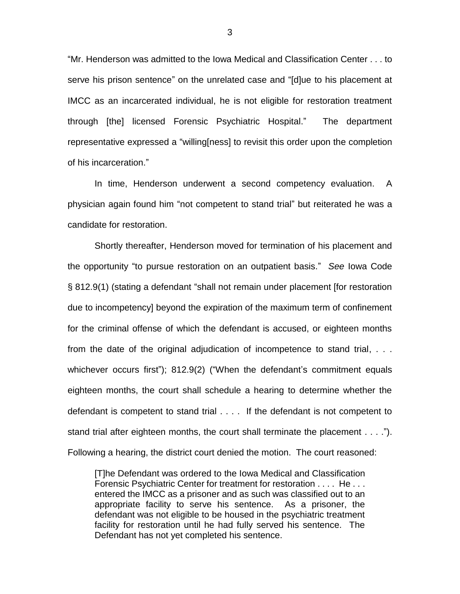"Mr. Henderson was admitted to the Iowa Medical and Classification Center . . . to serve his prison sentence" on the unrelated case and "[d]ue to his placement at IMCC as an incarcerated individual, he is not eligible for restoration treatment through [the] licensed Forensic Psychiatric Hospital." The department representative expressed a "willing[ness] to revisit this order upon the completion of his incarceration."

In time, Henderson underwent a second competency evaluation. A physician again found him "not competent to stand trial" but reiterated he was a candidate for restoration.

Shortly thereafter, Henderson moved for termination of his placement and the opportunity "to pursue restoration on an outpatient basis." *See* Iowa Code § 812.9(1) (stating a defendant "shall not remain under placement [for restoration due to incompetency] beyond the expiration of the maximum term of confinement for the criminal offense of which the defendant is accused, or eighteen months from the date of the original adjudication of incompetence to stand trial, . . . whichever occurs first"); 812.9(2) ("When the defendant's commitment equals eighteen months, the court shall schedule a hearing to determine whether the defendant is competent to stand trial . . . . If the defendant is not competent to stand trial after eighteen months, the court shall terminate the placement . . . ."). Following a hearing, the district court denied the motion. The court reasoned:

[T]he Defendant was ordered to the Iowa Medical and Classification Forensic Psychiatric Center for treatment for restoration . . . . He . . . entered the IMCC as a prisoner and as such was classified out to an appropriate facility to serve his sentence. As a prisoner, the defendant was not eligible to be housed in the psychiatric treatment facility for restoration until he had fully served his sentence. The Defendant has not yet completed his sentence.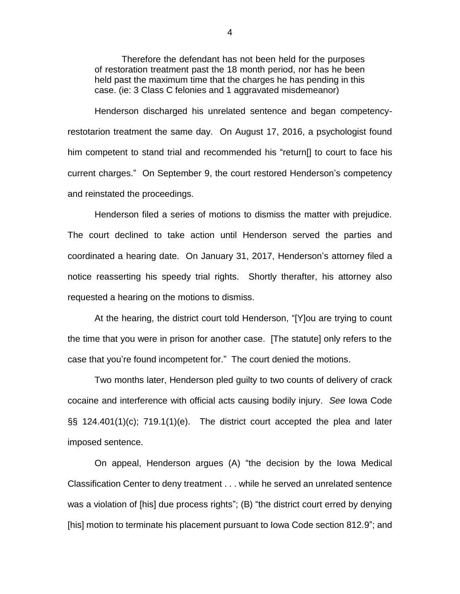Therefore the defendant has not been held for the purposes of restoration treatment past the 18 month period, nor has he been held past the maximum time that the charges he has pending in this case. (ie: 3 Class C felonies and 1 aggravated misdemeanor)

Henderson discharged his unrelated sentence and began competencyrestotarion treatment the same day. On August 17, 2016, a psychologist found him competent to stand trial and recommended his "return[] to court to face his current charges." On September 9, the court restored Henderson's competency and reinstated the proceedings.

Henderson filed a series of motions to dismiss the matter with prejudice. The court declined to take action until Henderson served the parties and coordinated a hearing date. On January 31, 2017, Henderson's attorney filed a notice reasserting his speedy trial rights. Shortly therafter, his attorney also requested a hearing on the motions to dismiss.

At the hearing, the district court told Henderson, "[Y]ou are trying to count the time that you were in prison for another case. [The statute] only refers to the case that you're found incompetent for." The court denied the motions.

Two months later, Henderson pled guilty to two counts of delivery of crack cocaine and interference with official acts causing bodily injury. *See* Iowa Code §§ 124.401(1)(c); 719.1(1)(e). The district court accepted the plea and later imposed sentence.

On appeal, Henderson argues (A) "the decision by the Iowa Medical Classification Center to deny treatment . . . while he served an unrelated sentence was a violation of [his] due process rights"; (B) "the district court erred by denying [his] motion to terminate his placement pursuant to Iowa Code section 812.9"; and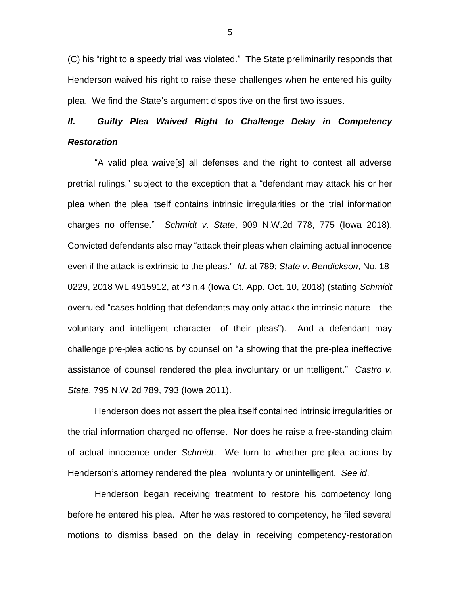(C) his "right to a speedy trial was violated." The State preliminarily responds that Henderson waived his right to raise these challenges when he entered his guilty plea. We find the State's argument dispositive on the first two issues.

# *II***.** *Guilty Plea Waived Right to Challenge Delay in Competency Restoration*

"A valid plea waive[s] all defenses and the right to contest all adverse pretrial rulings," subject to the exception that a "defendant may attack his or her plea when the plea itself contains intrinsic irregularities or the trial information charges no offense." *Schmidt v*. *State*, 909 N.W.2d 778, 775 (Iowa 2018). Convicted defendants also may "attack their pleas when claiming actual innocence even if the attack is extrinsic to the pleas." *Id*. at 789; *State v*. *Bendickson*, No. 18- 0229, 2018 WL 4915912, at \*3 n.4 (Iowa Ct. App. Oct. 10, 2018) (stating *Schmidt* overruled "cases holding that defendants may only attack the intrinsic nature—the voluntary and intelligent character—of their pleas"). And a defendant may challenge pre-plea actions by counsel on "a showing that the pre-plea ineffective assistance of counsel rendered the plea involuntary or unintelligent." *Castro v*. *State*, 795 N.W.2d 789, 793 (Iowa 2011).

Henderson does not assert the plea itself contained intrinsic irregularities or the trial information charged no offense. Nor does he raise a free-standing claim of actual innocence under *Schmidt*. We turn to whether pre-plea actions by Henderson's attorney rendered the plea involuntary or unintelligent. *See id*.

Henderson began receiving treatment to restore his competency long before he entered his plea. After he was restored to competency, he filed several motions to dismiss based on the delay in receiving competency-restoration

5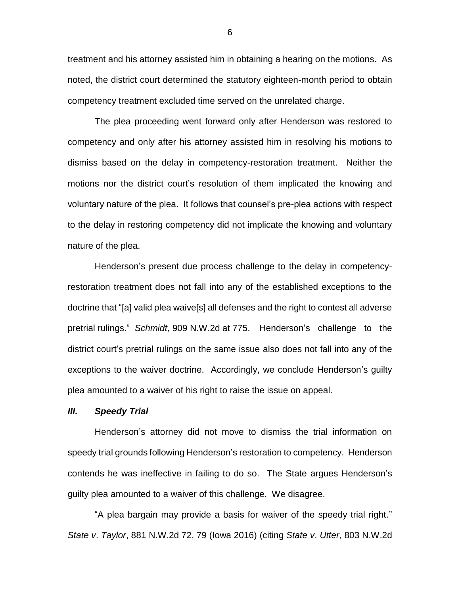treatment and his attorney assisted him in obtaining a hearing on the motions. As noted, the district court determined the statutory eighteen-month period to obtain competency treatment excluded time served on the unrelated charge.

The plea proceeding went forward only after Henderson was restored to competency and only after his attorney assisted him in resolving his motions to dismiss based on the delay in competency-restoration treatment. Neither the motions nor the district court's resolution of them implicated the knowing and voluntary nature of the plea. It follows that counsel's pre-plea actions with respect to the delay in restoring competency did not implicate the knowing and voluntary nature of the plea.

Henderson's present due process challenge to the delay in competencyrestoration treatment does not fall into any of the established exceptions to the doctrine that "[a] valid plea waive[s] all defenses and the right to contest all adverse pretrial rulings." *Schmidt*, 909 N.W.2d at 775. Henderson's challenge to the district court's pretrial rulings on the same issue also does not fall into any of the exceptions to the waiver doctrine. Accordingly, we conclude Henderson's guilty plea amounted to a waiver of his right to raise the issue on appeal.

#### *III. Speedy Trial*

Henderson's attorney did not move to dismiss the trial information on speedy trial grounds following Henderson's restoration to competency. Henderson contends he was ineffective in failing to do so. The State argues Henderson's guilty plea amounted to a waiver of this challenge. We disagree.

"A plea bargain may provide a basis for waiver of the speedy trial right." *State v*. *Taylor*, 881 N.W.2d 72, 79 (Iowa 2016) (citing *State v*. *Utter*, 803 N.W.2d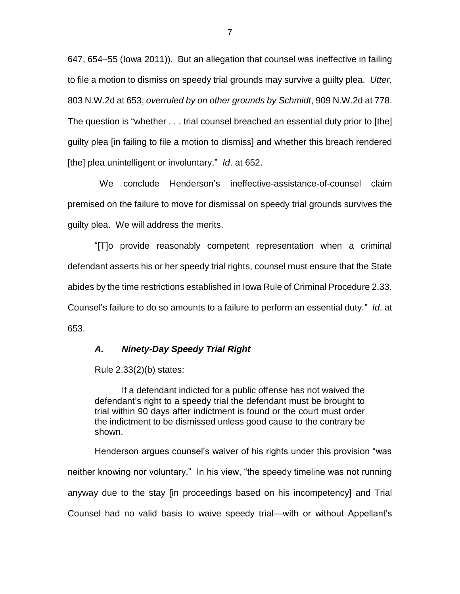647, 654–55 (Iowa 2011)). But an allegation that counsel was ineffective in failing to file a motion to dismiss on speedy trial grounds may survive a guilty plea. *Utter*, 803 N.W.2d at 653, *overruled by on other grounds by Schmidt*, 909 N.W.2d at 778. The question is "whether . . . trial counsel breached an essential duty prior to [the] guilty plea [in failing to file a motion to dismiss] and whether this breach rendered [the] plea unintelligent or involuntary." *Id*. at 652.

 We conclude Henderson's ineffective-assistance-of-counsel claim premised on the failure to move for dismissal on speedy trial grounds survives the guilty plea. We will address the merits.

"[T]o provide reasonably competent representation when a criminal defendant asserts his or her speedy trial rights, counsel must ensure that the State abides by the time restrictions established in Iowa Rule of Criminal Procedure 2.33. Counsel's failure to do so amounts to a failure to perform an essential duty." *Id*. at 653.

### *A. Ninety-Day Speedy Trial Right*

Rule 2.33(2)(b) states:

If a defendant indicted for a public offense has not waived the defendant's right to a speedy trial the defendant must be brought to trial within 90 days after indictment is found or the court must order the indictment to be dismissed unless good cause to the contrary be shown.

Henderson argues counsel's waiver of his rights under this provision "was neither knowing nor voluntary." In his view, "the speedy timeline was not running anyway due to the stay [in proceedings based on his incompetency] and Trial Counsel had no valid basis to waive speedy trial—with or without Appellant's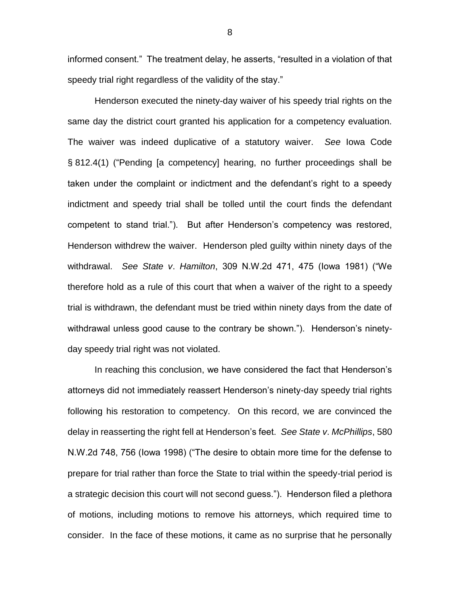informed consent." The treatment delay, he asserts, "resulted in a violation of that speedy trial right regardless of the validity of the stay."

Henderson executed the ninety-day waiver of his speedy trial rights on the same day the district court granted his application for a competency evaluation. The waiver was indeed duplicative of a statutory waiver. *See* Iowa Code § 812.4(1) ("Pending [a competency] hearing, no further proceedings shall be taken under the complaint or indictment and the defendant's right to a speedy indictment and speedy trial shall be tolled until the court finds the defendant competent to stand trial."). But after Henderson's competency was restored, Henderson withdrew the waiver. Henderson pled guilty within ninety days of the withdrawal. *See State v*. *Hamilton*, 309 N.W.2d 471, 475 (Iowa 1981) ("We therefore hold as a rule of this court that when a waiver of the right to a speedy trial is withdrawn, the defendant must be tried within ninety days from the date of withdrawal unless good cause to the contrary be shown."). Henderson's ninetyday speedy trial right was not violated.

In reaching this conclusion, we have considered the fact that Henderson's attorneys did not immediately reassert Henderson's ninety-day speedy trial rights following his restoration to competency. On this record, we are convinced the delay in reasserting the right fell at Henderson's feet. *See State v*. *McPhillips*, 580 N.W.2d 748, 756 (Iowa 1998) ("The desire to obtain more time for the defense to prepare for trial rather than force the State to trial within the speedy-trial period is a strategic decision this court will not second guess."). Henderson filed a plethora of motions, including motions to remove his attorneys, which required time to consider. In the face of these motions, it came as no surprise that he personally